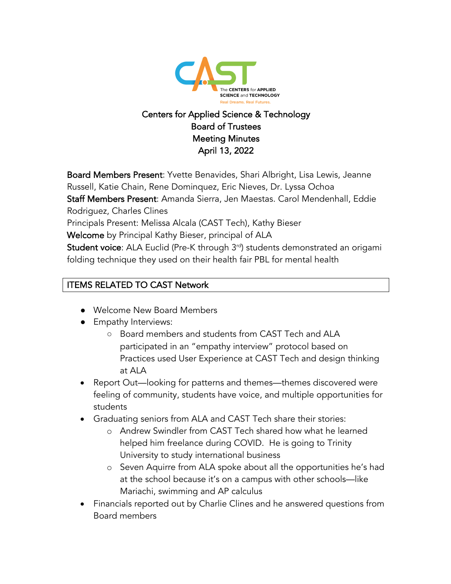

# Centers for Applied Science & Technology Board of Trustees Meeting Minutes April 13, 2022

Board Members Present: Yvette Benavides, Shari Albright, Lisa Lewis, Jeanne Russell, Katie Chain, Rene Dominquez, Eric Nieves, Dr. Lyssa Ochoa Staff Members Present: Amanda Sierra, Jen Maestas. Carol Mendenhall, Eddie Rodriguez, Charles Clines Principals Present: Melissa Alcala (CAST Tech), Kathy Bieser Welcome by Principal Kathy Bieser, principal of ALA Student voice: ALA Euclid (Pre-K through 3<sup>rd</sup>) students demonstrated an origami folding technique they used on their health fair PBL for mental health

# ITEMS RELATED TO CAST Network

- Welcome New Board Members
- Empathy Interviews:
	- Board members and students from CAST Tech and ALA participated in an "empathy interview" protocol based on Practices used User Experience at CAST Tech and design thinking at ALA
- Report Out—looking for patterns and themes—themes discovered were feeling of community, students have voice, and multiple opportunities for students
- Graduating seniors from ALA and CAST Tech share their stories:
	- o Andrew Swindler from CAST Tech shared how what he learned helped him freelance during COVID. He is going to Trinity University to study international business
	- o Seven Aquirre from ALA spoke about all the opportunities he's had at the school because it's on a campus with other schools—like Mariachi, swimming and AP calculus
- Financials reported out by Charlie Clines and he answered questions from Board members